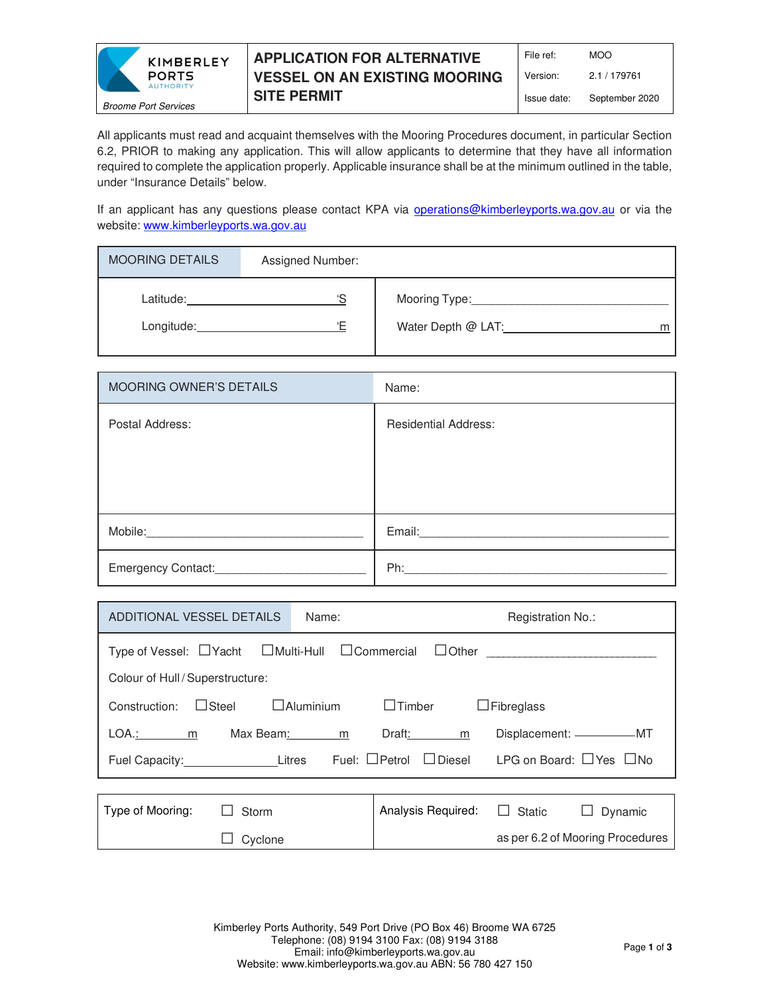

## **APPLICATION FOR ALTERNATIVE VESSEL ON AN EXISTING MOORING SITE PERMIT**

All applicants must read and acquaint themselves with the Mooring Procedures document, in particular Section 6.2, PRIOR to making any application. This will allow applicants to determine that they have all information required to complete the application properly. Applicable insurance shall be at the minimum outlined in the table, under "Insurance Details" below.

If an applicant has any questions please contact KPA via operations@kimberleyports.wa.gov.au or via the website: www.kimberleyports.wa.gov.au

| <b>MOORING DETAILS</b>  | Assigned Number: |                                          |
|-------------------------|------------------|------------------------------------------|
| Latitude:<br>Longitude: | ٠ς<br>'F         | Mooring Type:<br>Water Depth @ LAT:<br>m |

| <b>MOORING OWNER'S DETAILS</b> | Name:                       |
|--------------------------------|-----------------------------|
| Postal Address:                | <b>Residential Address:</b> |
|                                |                             |
|                                |                             |
|                                |                             |
| Mobile:                        | Email:                      |
| Emergency Contact:             | Ph:                         |

| ADDITIONAL VESSEL DETAILS                                                               | Name:       | Registration No.:                    |                                  |  |
|-----------------------------------------------------------------------------------------|-------------|--------------------------------------|----------------------------------|--|
| Type of Vessel: $\Box$ Yacht $\Box$ Multi-Hull $\Box$ Commercial                        |             |                                      | $\Box$ Other $\Box$              |  |
| Colour of Hull / Superstructure:                                                        |             |                                      |                                  |  |
| $\Box$ Timber<br>$\Box$ Steel<br>$\Box$ Aluminium<br>$\Box$ Fibreglass<br>Construction: |             |                                      |                                  |  |
| $LOA.: \qquad m$                                                                        | Max Beam: m | Draft:<br>m                          | Displacement: ___________MT      |  |
| Fuel Capacity: Litres                                                                   |             | $\Box$ Diesel<br>Fuel: $\Box$ Petrol | LPG on Board: □ Yes □ No         |  |
|                                                                                         |             |                                      |                                  |  |
| Type of Mooring:<br>Storm                                                               |             | Analysis Required:                   | $\Box$ Static<br>Dynamic         |  |
| Cyclone                                                                                 |             |                                      | as per 6.2 of Mooring Procedures |  |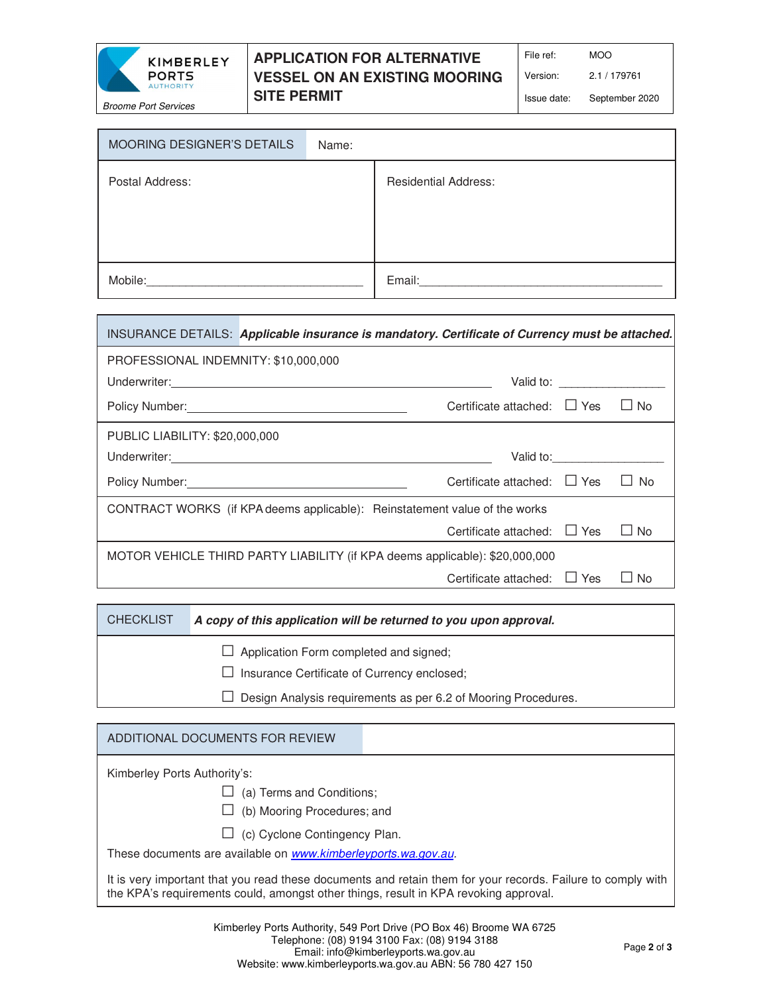

### **APPLICATION FOR ALTERNATIVE VESSEL ON AN EXISTING MOORING SITE PERMIT**

File ref: MOO

Version: 2.1 / 179761

Issue date: September 2020

MOORING DESIGNER'S DETAILS Name: Postal Address: Residential Address: Mobile:\_\_\_\_\_\_\_\_\_\_\_\_\_\_\_\_\_\_\_\_\_\_\_\_\_\_\_\_\_\_\_\_\_ Email:\_\_\_\_\_\_\_\_\_\_\_\_\_\_\_\_\_\_\_\_\_\_\_\_\_\_\_\_\_\_\_\_\_\_\_\_\_

|                                                                             | INSURANCE DETAILS: Applicable insurance is mandatory. Certificate of Currency must be attached. |                                  |                                                                                                                                                                                                                                |                |
|-----------------------------------------------------------------------------|-------------------------------------------------------------------------------------------------|----------------------------------|--------------------------------------------------------------------------------------------------------------------------------------------------------------------------------------------------------------------------------|----------------|
| PROFESSIONAL INDEMNITY: \$10,000,000                                        |                                                                                                 |                                  |                                                                                                                                                                                                                                |                |
|                                                                             |                                                                                                 |                                  | Valid to: \\end{\math}                                                                                                                                                                                                         |                |
|                                                                             | Policy Number: Name of Policy Numbers 2014                                                      | Certificate attached: $\Box$ Yes |                                                                                                                                                                                                                                | <b>No</b>      |
| PUBLIC LIABILITY: \$20,000,000                                              |                                                                                                 |                                  |                                                                                                                                                                                                                                |                |
|                                                                             |                                                                                                 |                                  | Valid to: \\end{\sigma_{\sigma_{\sigma_{\sigma_{\sigma_{\sigma_{\sigma_{\sigma_{\sigma_{\sigma_{\sigma_{\sigma_{\sigma_{\sigma_{\sigma_{\sigma_{\sigma_{\sigma_{\sigma_{\sigma_{\sigma_{\sigma_{\sigma_{\sigma_{\sigma_{\sigma |                |
|                                                                             | Policy Number: <u>Cambridge Communication</u>                                                   | Certificate attached: $\Box$ Yes |                                                                                                                                                                                                                                | N <sub>0</sub> |
| CONTRACT WORKS (if KPA deems applicable): Reinstatement value of the works  |                                                                                                 |                                  |                                                                                                                                                                                                                                |                |
|                                                                             |                                                                                                 | Certificate attached: $\Box$ Yes |                                                                                                                                                                                                                                | $\Box$ No      |
| MOTOR VEHICLE THIRD PARTY LIABILITY (if KPA deems applicable): \$20,000,000 |                                                                                                 |                                  |                                                                                                                                                                                                                                |                |
|                                                                             |                                                                                                 | Certificate attached:            | $\Box$ Yes                                                                                                                                                                                                                     | No             |

CHECKLIST **A copy of this application will be returned to you upon approval.**

 $\Box$  Application Form completed and signed;

 $\square$  Insurance Certificate of Currency enclosed;

 $\Box$  Design Analysis requirements as per 6.2 of Mooring Procedures.

# ADDITIONAL DOCUMENTS FOR REVIEW

Kimberley Ports Authority's:

 $\Box$  (a) Terms and Conditions;

 $\Box$  (b) Mooring Procedures; and

 $\Box$  (c) Cyclone Contingency Plan.

These documents are available on www.kimberleyports.wa.gov.au.

It is very important that you read these documents and retain them for your records. Failure to comply with the KPA's requirements could, amongst other things, result in KPA revoking approval.